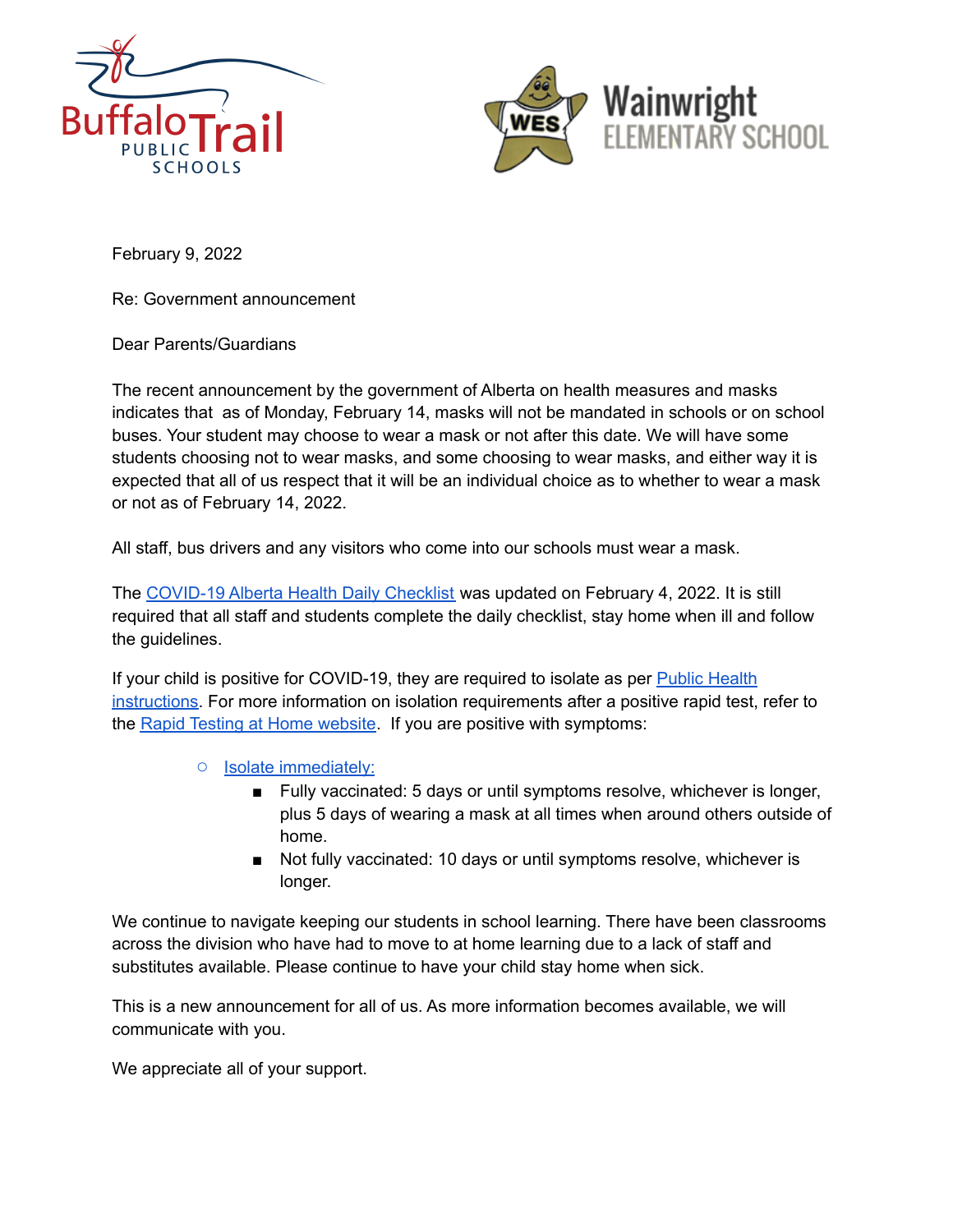



February 9, 2022

Re: Government announcement

Dear Parents/Guardians

The recent announcement by the government of Alberta on health measures and masks indicates that as of Monday, February 14, masks will not be mandated in schools or on school buses. Your student may choose to wear a mask or not after this date. We will have some students choosing not to wear masks, and some choosing to wear masks, and either way it is expected that all of us respect that it will be an individual choice as to whether to wear a mask or not as of February 14, 2022.

All staff, bus drivers and any visitors who come into our schools must wear a mask.

The [COVID-19](https://open.alberta.ca/publications/covid-19-information-alberta-health-daily-checklist) Alberta Health Daily Checklist was updated on February 4, 2022. It is still required that all staff and students complete the daily checklist, stay home when ill and follow the guidelines.

If your child is positive for COVID-19, they are required to isolate as per Public [Health](https://www.alberta.ca/covid-19-orders-and-legislation.aspx) [instructions.](https://www.alberta.ca/covid-19-orders-and-legislation.aspx) For more information on isolation requirements after a positive rapid test, refer to the Rapid Testing at Home [website.](https://www.alberta.ca/rapid-testing-at-home.aspx) If you are positive with symptoms:

- Isolate [immediately](https://www.alberta.ca/isolation.aspx):
	- Fully vaccinated: 5 days or until symptoms resolve, whichever is longer, plus 5 days of wearing a mask at all times when around others outside of home.
	- Not fully vaccinated: 10 days or until symptoms resolve, whichever is longer.

We continue to navigate keeping our students in school learning. There have been classrooms across the division who have had to move to at home learning due to a lack of staff and substitutes available. Please continue to have your child stay home when sick.

This is a new announcement for all of us. As more information becomes available, we will communicate with you.

We appreciate all of your support.